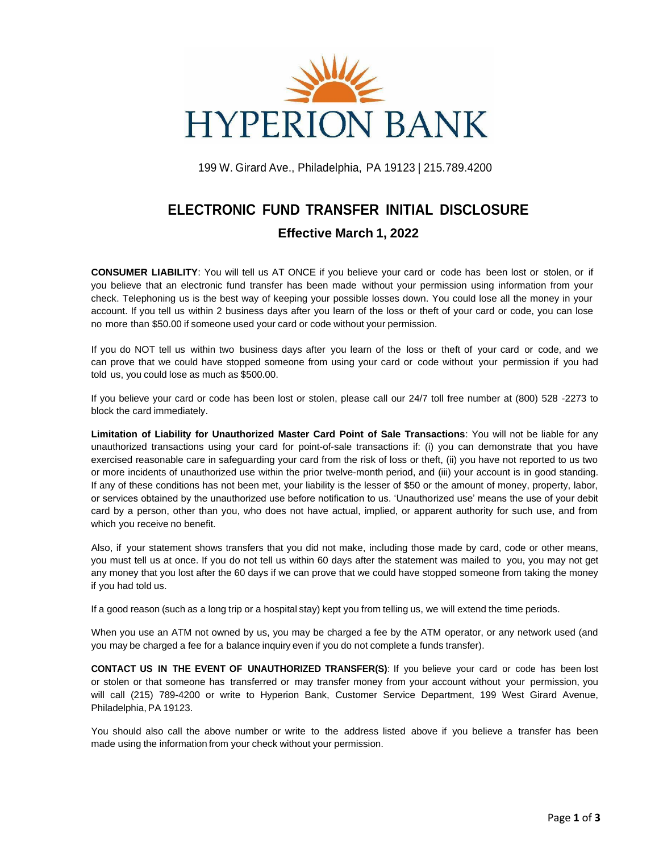

199 W. Girard Ave., Philadelphia, PA 19123 | 215.789.4200

# **ELECTRONIC FUND TRANSFER INITIAL DISCLOSURE Effective March 1, 2022**

**CONSUMER LIABILITY**: You will tell us AT ONCE if you believe your card or code has been lost or stolen, or if you believe that an electronic fund transfer has been made without your permission using information from your check. Telephoning us is the best way of keeping your possible losses down. You could lose all the money in your account. If you tell us within 2 business days after you learn of the loss or theft of your card or code, you can lose no more than \$50.00 if someone used your card or code without your permission.

If you do NOT tell us within two business days after you learn of the loss or theft of your card or code, and we can prove that we could have stopped someone from using your card or code without your permission if you had told us, you could lose as much as \$500.00.

If you believe your card or code has been lost or stolen, please call our 24/7 toll free number at (800) 528 -2273 to block the card immediately.

**Limitation of Liability for Unauthorized Master Card Point of Sale Transactions**: You will not be liable for any unauthorized transactions using your card for point-of-sale transactions if: (i) you can demonstrate that you have exercised reasonable care in safeguarding your card from the risk of loss or theft, (ii) you have not reported to us two or more incidents of unauthorized use within the prior twelve-month period, and (iii) your account is in good standing. If any of these conditions has not been met, your liability is the lesser of \$50 or the amount of money, property, labor, or services obtained by the unauthorized use before notification to us. 'Unauthorized use' means the use of your debit card by a person, other than you, who does not have actual, implied, or apparent authority for such use, and from which you receive no benefit.

Also, if your statement shows transfers that you did not make, including those made by card, code or other means, you must tell us at once. If you do not tell us within 60 days after the statement was mailed to you, you may not get any money that you lost after the 60 days if we can prove that we could have stopped someone from taking the money if you had told us.

If a good reason (such as a long trip or a hospital stay) kept you from telling us, we will extend the time periods.

When you use an ATM not owned by us, you may be charged a fee by the ATM operator, or any network used (and you may be charged a fee for a balance inquiry even if you do not complete a funds transfer).

**CONTACT US IN THE EVENT OF UNAUTHORIZED TRANSFER(S)**: If you believe your card or code has been lost or stolen or that someone has transferred or may transfer money from your account without your permission, you will call (215) 789-4200 or write to Hyperion Bank, Customer Service Department, 199 West Girard Avenue, Philadelphia, PA 19123.

You should also call the above number or write to the address listed above if you believe a transfer has been made using the information from your check without your permission.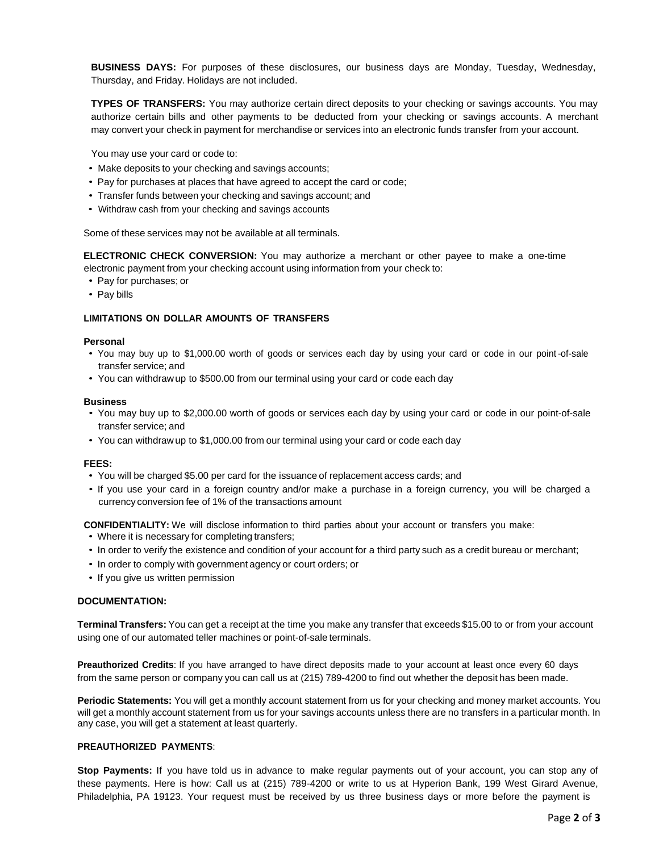**BUSINESS DAYS:** For purposes of these disclosures, our business days are Monday, Tuesday, Wednesday, Thursday, and Friday. Holidays are not included.

**TYPES OF TRANSFERS:** You may authorize certain direct deposits to your checking or savings accounts. You may authorize certain bills and other payments to be deducted from your checking or savings accounts. A merchant may convert your check in payment for merchandise or services into an electronic funds transfer from your account.

You may use your card or code to:

- Make deposits to your checking and savings accounts;
- Pay for purchases at places that have agreed to accept the card or code;
- Transfer funds between your checking and savings account; and
- Withdraw cash from your checking and savings accounts

Some of these services may not be available at all terminals.

**ELECTRONIC CHECK CONVERSION:** You may authorize a merchant or other payee to make a one-time electronic payment from your checking account using information from your check to:

- Pay for purchases; or
- Pay bills

### **LIMITATIONS ON DOLLAR AMOUNTS OF TRANSFERS**

#### **Personal**

- You may buy up to \$1,000.00 worth of goods or services each day by using your card or code in our point -of-sale transfer service; and
- You can withdrawup to \$500.00 from our terminal using your card or code each day

#### **Business**

- You may buy up to \$2,000.00 worth of goods or services each day by using your card or code in our point-of-sale transfer service; and
- You can withdraw up to \$1,000.00 from our terminal using your card or code each day

#### **FEES:**

- You will be charged \$5.00 per card for the issuance of replacement access cards; and
- If you use your card in a foreign country and/or make a purchase in a foreign currency, you will be charged a currency conversion fee of 1% of the transactions amount

**CONFIDENTIALITY:** We will disclose information to third parties about your account or transfers you make:

- Where it is necessary for completing transfers;
- In order to verify the existence and condition of your account for a third party such as a credit bureau or merchant;
- In order to comply with government agency or court orders; or
- If you give us written permission

#### **DOCUMENTATION:**

**Terminal Transfers:** You can get a receipt at the time you make any transfer that exceeds \$15.00 to or from your account using one of our automated teller machines or point-of-sale terminals.

**Preauthorized Credits**: If you have arranged to have direct deposits made to your account at least once every 60 days from the same person or company you can call us at (215) 789-4200 to find out whether the deposit has been made.

**Periodic Statements:** You will get a monthly account statement from us for your checking and money market accounts. You will get a monthly account statement from us for your savings accounts unless there are no transfers in a particular month. In any case, you will get a statement at least quarterly.

## **PREAUTHORIZED PAYMENTS**:

**Stop Payments:** If you have told us in advance to make regular payments out of your account, you can stop any of these payments. Here is how: Call us at (215) 789-4200 or write to us at Hyperion Bank, 199 West Girard Avenue, Philadelphia, PA 19123. Your request must be received by us three business days or more before the payment is